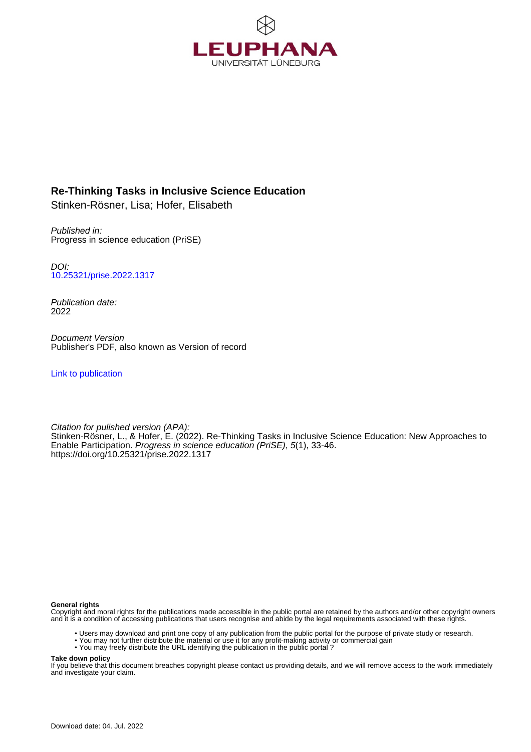

# **Re-Thinking Tasks in Inclusive Science Education**

Stinken-Rösner, Lisa; Hofer, Elisabeth

Published in: Progress in science education (PriSE)

DOI: [10.25321/prise.2022.1317](https://doi.org/10.25321/prise.2022.1317)

Publication date: 2022

Document Version Publisher's PDF, also known as Version of record

[Link to publication](http://fox.leuphana.de/portal/en/publications/rethinking-tasks-in-inclusive-science-education(8791958c-4eb0-42ee-bfba-4d85b2edbe18).html)

Citation for pulished version (APA): [Stinken-Rösner, L.](http://fox.leuphana.de/portal/de/persons/lisa-stinkenroesner(d5d193b5-1cf1-4140-88d4-5e9cdfe71320).html)[, & Hofer, E.](http://fox.leuphana.de/portal/de/persons/elisabeth-hofer(a8fdb761-276f-404a-8f18-23f23c8739b7).html) (2022). [Re-Thinking Tasks in Inclusive Science Education: New Approaches to](http://fox.leuphana.de/portal/de/publications/rethinking-tasks-in-inclusive-science-education(8791958c-4eb0-42ee-bfba-4d85b2edbe18).html) [Enable Participation.](http://fox.leuphana.de/portal/de/publications/rethinking-tasks-in-inclusive-science-education(8791958c-4eb0-42ee-bfba-4d85b2edbe18).html) [Progress in science education \(PriSE\)](http://fox.leuphana.de/portal/de/journals/progress-in-science-education-prise(1d58c3c9-9142-4d79-85cb-2f142ce6d4e9)/publications.html), 5(1), 33-46. <https://doi.org/10.25321/prise.2022.1317>

#### **General rights**

Copyright and moral rights for the publications made accessible in the public portal are retained by the authors and/or other copyright owners and it is a condition of accessing publications that users recognise and abide by the legal requirements associated with these rights.

- Users may download and print one copy of any publication from the public portal for the purpose of private study or research.
- You may not further distribute the material or use it for any profit-making activity or commercial gain
- You may freely distribute the URL identifying the publication in the public portal ?

#### **Take down policy**

If you believe that this document breaches copyright please contact us providing details, and we will remove access to the work immediately and investigate your claim.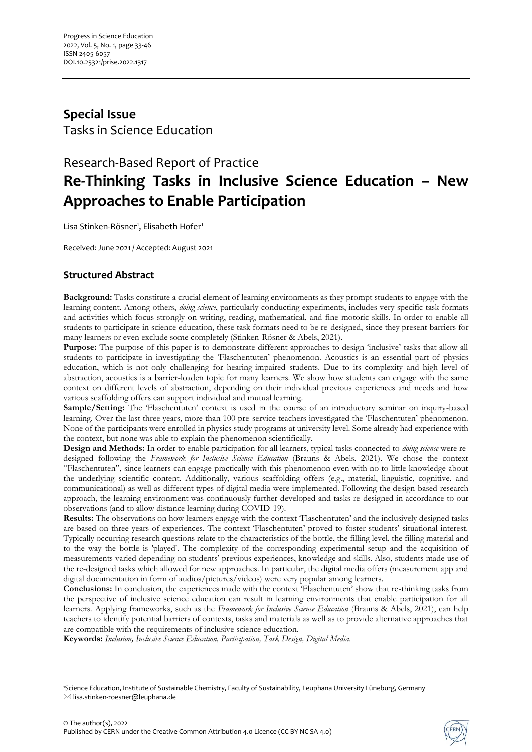# **Special Issue** Tasks in Science Education

# Research-Based Report of Practice **Re-Thinking Tasks in Inclusive Science Education – New Approaches to Enable Participation**

Lisa Stinken-Rösner<sup>1</sup>, Elisabeth Hofer<sup>1</sup>

Received: June 2021 / Accepted: August 2021

# **Structured Abstract**

**Background:** Tasks constitute a crucial element of learning environments as they prompt students to engage with the learning content. Among others, *doing science*, particularly conducting experiments, includes very specific task formats and activities which focus strongly on writing, reading, mathematical, and fine-motoric skills. In order to enable all students to participate in science education, these task formats need to be re-designed, since they present barriers for many learners or even exclude some completely (Stinken-Rösner & Abels, 2021).

**Purpose:** The purpose of this paper is to demonstrate different approaches to design 'inclusive' tasks that allow all students to participate in investigating the 'Flaschentuten' phenomenon. Acoustics is an essential part of physics education, which is not only challenging for hearing-impaired students. Due to its complexity and high level of abstraction, acoustics is a barrier-loaden topic for many learners. We show how students can engage with the same context on different levels of abstraction, depending on their individual previous experiences and needs and how various scaffolding offers can support individual and mutual learning.

**Sample/Setting:** The 'Flaschentuten' context is used in the course of an introductory seminar on inquiry-based learning. Over the last three years, more than 100 pre-service teachers investigated the 'Flaschentuten' phenomenon. None of the participants were enrolled in physics study programs at university level. Some already had experience with the context, but none was able to explain the phenomenon scientifically.

**Design and Methods:** In order to enable participation for all learners, typical tasks connected to *doing science* were redesigned following the *Framework for Inclusive Science Education* (Brauns & Abels, 2021). We chose the context "Flaschentuten", since learners can engage practically with this phenomenon even with no to little knowledge about the underlying scientific content. Additionally, various scaffolding offers (e.g., material, linguistic, cognitive, and communicational) as well as different types of digital media were implemented. Following the design-based research approach, the learning environment was continuously further developed and tasks re-designed in accordance to our observations (and to allow distance learning during COVID-19).

**Results:** The observations on how learners engage with the context 'Flaschentuten' and the inclusively designed tasks are based on three years of experiences. The context 'Flaschentuten' proved to foster students' situational interest. Typically occurring research questions relate to the characteristics of the bottle, the filling level, the filling material and to the way the bottle is 'played'. The complexity of the corresponding experimental setup and the acquisition of measurements varied depending on students' previous experiences, knowledge and skills. Also, students made use of the re-designed tasks which allowed for new approaches. In particular, the digital media offers (measurement app and digital documentation in form of audios/pictures/videos) were very popular among learners.

**Conclusions:** In conclusion, the experiences made with the context 'Flaschentuten' show that re-thinking tasks from the perspective of inclusive science education can result in learning environments that enable participation for all learners. Applying frameworks, such as the *Framework for Inclusive Science Education* (Brauns & Abels, 2021), can help teachers to identify potential barriers of contexts, tasks and materials as well as to provide alternative approaches that are compatible with the requirements of inclusive science education.

**Keywords:** *Inclusion, Inclusive Science Education, Participation, Task Design, Digital Media.*



<sup>1</sup>Science Education, Institute of Sustainable Chemistry, Faculty of Sustainability, Leuphana University Lüneburg, Germany  $\boxtimes$  lisa.stinken-roesner@leuphana.de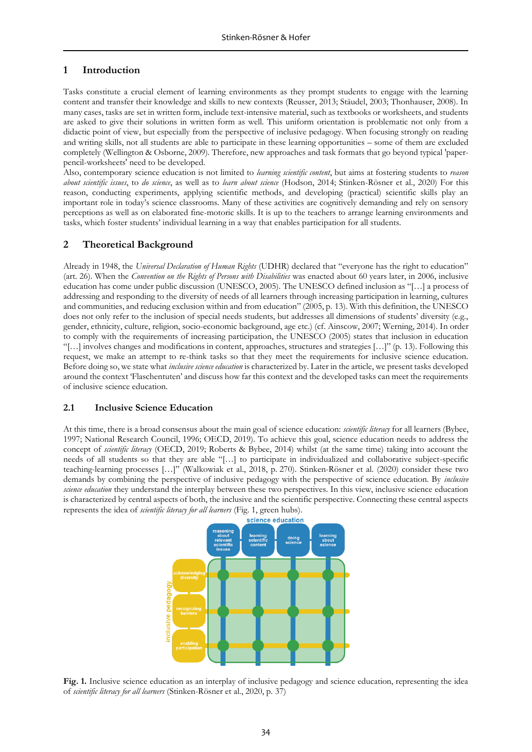### **1 Introduction**

Tasks constitute a crucial element of learning environments as they prompt students to engage with the learning content and transfer their knowledge and skills to new contexts (Reusser, 2013; Stäudel, 2003; Thonhauser, 2008). In many cases, tasks are set in written form, include text-intensive material, such as textbooks or worksheets, and students are asked to give their solutions in written form as well. This uniform orientation is problematic not only from a didactic point of view, but especially from the perspective of inclusive pedagogy. When focusing strongly on reading and writing skills, not all students are able to participate in these learning opportunities – some of them are excluded completely (Wellington & Osborne, 2009). Therefore, new approaches and task formats that go beyond typical 'paperpencil-worksheets' need to be developed.

Also, contemporary science education is not limited to *learning scientific content*, but aims at fostering students to *reason about scientific issues*, to *do science*, as well as to *learn about science* (Hodson, 2014; Stinken-Rösner et al., 2020) For this reason, conducting experiments, applying scientific methods, and developing (practical) scientific skills play an important role in today's science classrooms. Many of these activities are cognitively demanding and rely on sensory perceptions as well as on elaborated fine-motoric skills. It is up to the teachers to arrange learning environments and tasks, which foster students' individual learning in a way that enables participation for all students.

## **2 Theoretical Background**

Already in 1948, the *Universal Declaration of Human Rights* (UDHR) declared that "everyone has the right to education" (art. 26). When the *Convention on the Rights of Persons with Disabilities* was enacted about 60 years later, in 2006, inclusive education has come under public discussion (UNESCO, 2005). The UNESCO defined inclusion as "[…] a process of addressing and responding to the diversity of needs of all learners through increasing participation in learning, cultures and communities, and reducing exclusion within and from education" (2005, p. 13). With this definition, the UNESCO does not only refer to the inclusion of special needs students, but addresses all dimensions of students' diversity (e.g., gender, ethnicity, culture, religion, socio-economic background, age etc.) (cf. Ainscow, 2007; Werning, 2014). In order to comply with the requirements of increasing participation, the UNESCO (2005) states that inclusion in education "[…] involves changes and modifications in content, approaches, structures and strategies […]" (p. 13). Following this request, we make an attempt to re-think tasks so that they meet the requirements for inclusive science education. Before doing so, we state what *inclusive science education* is characterized by. Later in the article, we present tasks developed around the context 'Flaschentuten' and discuss how far this context and the developed tasks can meet the requirements of inclusive science education.

#### **2.1 Inclusive Science Education**

At this time, there is a broad consensus about the main goal of science education: *scientific literacy* for all learners (Bybee, 1997; National Research Council, 1996; OECD, 2019). To achieve this goal, science education needs to address the concept of *scientific literacy* (OECD, 2019; Roberts & Bybee, 2014) whilst (at the same time) taking into account the needs of all students so that they are able "[…] to participate in individualized and collaborative subject-specific teaching-learning processes […]" (Walkowiak et al., 2018, p. 270). Stinken-Rösner et al. (2020) consider these two demands by combining the perspective of inclusive pedagogy with the perspective of science education. By *inclusive science education* they understand the interplay between these two perspectives. In this view, inclusive science education is characterized by central aspects of both, the inclusive and the scientific perspective. Connecting these central aspects represents the idea of *scientific literacy for all learners* (Fig. 1, green hubs).



**Fig. 1.** Inclusive science education as an interplay of inclusive pedagogy and science education, representing the idea of *scientific literacy for all learners* (Stinken-Rösner et al., 2020, p. 37)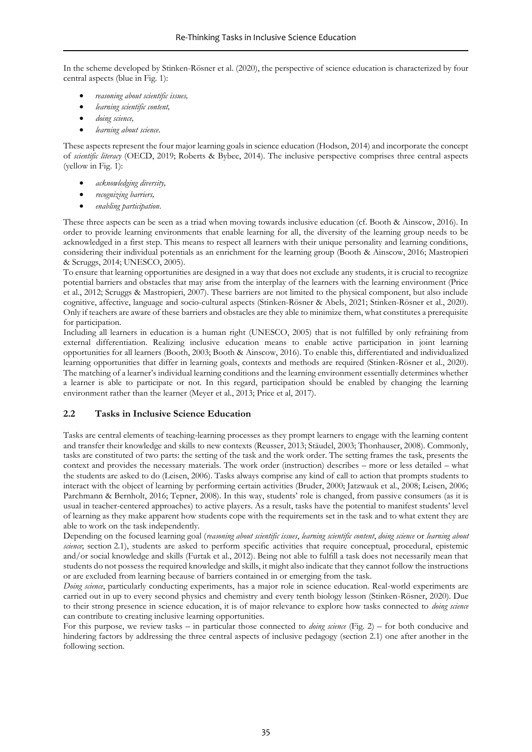In the scheme developed by Stinken-Rösner et al. (2020), the perspective of science education is characterized by four central aspects (blue in Fig. 1):

- *reasoning about scientific issues,*
- *learning scientific content,*
- *doing science,*
- *learning about science*.

These aspects represent the four major learning goals in science education (Hodson, 2014) and incorporate the concept of *scientific literacy* (OECD, 2019; Roberts & Bybee, 2014). The inclusive perspective comprises three central aspects (yellow in Fig. 1):

- *acknowledging diversity,*
- *recognizing barriers,*
- *enabling participation*.

These three aspects can be seen as a triad when moving towards inclusive education (cf. Booth & Ainscow, 2016). In order to provide learning environments that enable learning for all, the diversity of the learning group needs to be acknowledged in a first step. This means to respect all learners with their unique personality and learning conditions, considering their individual potentials as an enrichment for the learning group (Booth & Ainscow, 2016; Mastropieri & Scruggs, 2014; UNESCO, 2005).

To ensure that learning opportunities are designed in a way that does not exclude any students, it is crucial to recognize potential barriers and obstacles that may arise from the interplay of the learners with the learning environment (Price et al., 2012; Scruggs & Mastropieri, 2007). These barriers are not limited to the physical component, but also include cognitive, affective, language and socio-cultural aspects (Stinken-Rösner & Abels, 2021; Stinken-Rösner et al., 2020). Only if teachers are aware of these barriers and obstacles are they able to minimize them, what constitutes a prerequisite for participation.

Including all learners in education is a human right (UNESCO, 2005) that is not fulfilled by only refraining from external differentiation. Realizing inclusive education means to enable active participation in joint learning opportunities for all learners (Booth, 2003; Booth & Ainscow, 2016). To enable this, differentiated and individualized learning opportunities that differ in learning goals, contexts and methods are required (Stinken-Rösner et al., 2020). The matching of a learner's individual learning conditions and the learning environment essentially determines whether a learner is able to participate or not. In this regard, participation should be enabled by changing the learning environment rather than the learner (Meyer et al., 2013; Price et al, 2017).

#### **2.2 Tasks in Inclusive Science Education**

Tasks are central elements of teaching-learning processes as they prompt learners to engage with the learning content and transfer their knowledge and skills to new contexts (Reusser, 2013; Stäudel, 2003; Thonhauser, 2008). Commonly, tasks are constituted of two parts: the setting of the task and the work order. The setting frames the task, presents the context and provides the necessary materials. The work order (instruction) describes – more or less detailed – what the students are asked to do (Leisen, 2006). Tasks always comprise any kind of call to action that prompts students to interact with the object of learning by performing certain activities (Bruder, 2000; Jatzwauk et al., 2008; Leisen, 2006; Parchmann & Bernholt, 2016; Tepner, 2008). In this way, students' role is changed, from passive consumers (as it is usual in teacher-centered approaches) to active players. As a result, tasks have the potential to manifest students' level of learning as they make apparent how students cope with the requirements set in the task and to what extent they are able to work on the task independently.

Depending on the focused learning goal (*reasoning about scientific issues*, *learning scientific content*, *doing science* or *learning about science*; section 2.1), students are asked to perform specific activities that require conceptual, procedural, epistemic and/or social knowledge and skills (Furtak et al., 2012). Being not able to fulfill a task does not necessarily mean that students do not possess the required knowledge and skills, it might also indicate that they cannot follow the instructions or are excluded from learning because of barriers contained in or emerging from the task.

*Doing science*, particularly conducting experiments, has a major role in science education. Real-world experiments are carried out in up to every second physics and chemistry and every tenth biology lesson (Stinken-Rösner, 2020). Due to their strong presence in science education, it is of major relevance to explore how tasks connected to *doing science* can contribute to creating inclusive learning opportunities.

For this purpose, we review tasks – in particular those connected to *doing science* (Fig. 2) – for both conducive and hindering factors by addressing the three central aspects of inclusive pedagogy (section 2.1) one after another in the following section.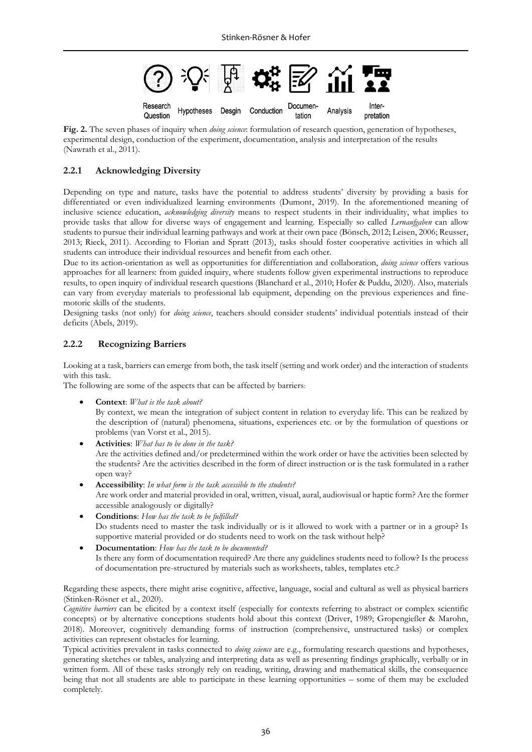

**Fig. 2.** The seven phases of inquiry when *doing science*: formulation of research question, generation of hypotheses, experimental design, conduction of the experiment, documentation, analysis and interpretation of the results (Nawrath et al., 2011).

## **2.2.1 Acknowledging Diversity**

Depending on type and nature, tasks have the potential to address students' diversity by providing a basis for differentiated or even individualized learning environments (Dumont, 2019). In the aforementioned meaning of inclusive science education, *acknowledging diversity* means to respect students in their individuality, what implies to provide tasks that allow for diverse ways of engagement and learning. Especially so called *Lernaufgaben* can allow students to pursue their individual learning pathways and work at their own pace (Bönsch, 2012; Leisen, 2006; Reusser, 2013; Rieck, 2011). According to Florian and Spratt (2013), tasks should foster cooperative activities in which all students can introduce their individual resources and benefit from each other.

Due to its action-orientation as well as opportunities for differentiation and collaboration, *doing science* offers various approaches for all learners: from guided inquiry, where students follow given experimental instructions to reproduce results, to open inquiry of individual research questions (Blanchard et al., 2010; Hofer & Puddu, 2020). Also, materials can vary from everyday materials to professional lab equipment, depending on the previous experiences and finemotoric skills of the students.

Designing tasks (not only) for *doing science*, teachers should consider students' individual potentials instead of their deficits (Abels, 2019).

## **2.2.2 Recognizing Barriers**

Looking at a task, barriers can emerge from both, the task itself (setting and work order) and the interaction of students with this task.

The following are some of the aspects that can be affected by barriers:

• **Context**: *What is the task about?*

By context, we mean the integration of subject content in relation to everyday life. This can be realized by the description of (natural) phenomena, situations, experiences etc. or by the formulation of questions or problems (van Vorst et al., 2015).

- **Activities**: *What has to be done in the task?* Are the activities defined and/or predetermined within the work order or have the activities been selected by the students? Are the activities described in the form of direct instruction or is the task formulated in a rather open way?
- **Accessibility**: *In what form is the task accessible to the students?* Are work order and material provided in oral, written, visual, aural, audiovisual or haptic form? Are the former accessible analogously or digitally?
- **Conditions**: *How has the task to be fulfilled?* Do students need to master the task individually or is it allowed to work with a partner or in a group? Is supportive material provided or do students need to work on the task without help?
- **Documentation**: *How has the task to be documented?* Is there any form of documentation required? Are there any guidelines students need to follow? Is the process of documentation pre-structured by materials such as worksheets, tables, templates etc.?

Regarding these aspects, there might arise cognitive, affective, language, social and cultural as well as physical barriers (Stinken-Rösner et al., 2020).

*Cognitive barriers* can be elicited by a context itself (especially for contexts referring to abstract or complex scientific concepts) or by alternative conceptions students hold about this context (Driver, 1989; Gropengießer & Marohn, 2018). Moreover, cognitively demanding forms of instruction (comprehensive, unstructured tasks) or complex activities can represent obstacles for learning.

Typical activities prevalent in tasks connected to *doing science* are e.g., formulating research questions and hypotheses, generating sketches or tables, analyzing and interpreting data as well as presenting findings graphically, verbally or in written form. All of these tasks strongly rely on reading, writing, drawing and mathematical skills, the consequence being that not all students are able to participate in these learning opportunities – some of them may be excluded completely.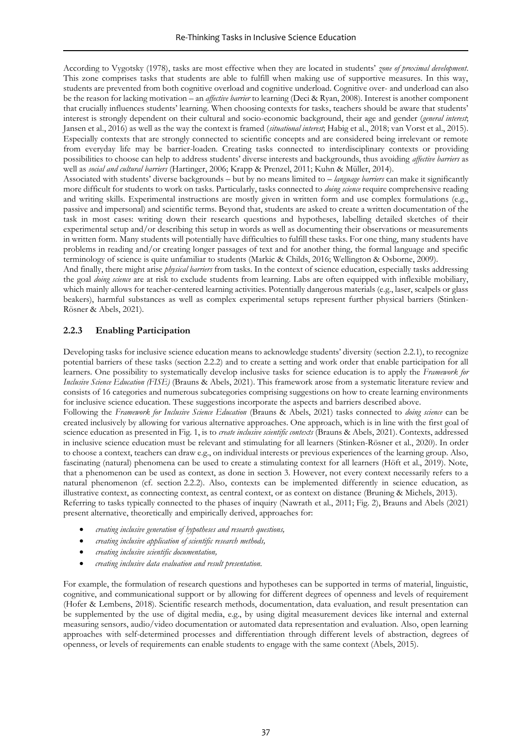According to Vygotsky (1978), tasks are most effective when they are located in students' *zone of proximal development*. This zone comprises tasks that students are able to fulfill when making use of supportive measures. In this way, students are prevented from both cognitive overload and cognitive underload. Cognitive over- and underload can also be the reason for lacking motivation – an *affective barrier* to learning (Deci & Ryan, 2008). Interest is another component that crucially influences students' learning. When choosing contexts for tasks, teachers should be aware that students' interest is strongly dependent on their cultural and socio-economic background, their age and gender (*general interest*; Jansen et al., 2016) as well as the way the context is framed (*situational interest*; Habig et al., 2018; van Vorst et al., 2015). Especially contexts that are strongly connected to scientific concepts and are considered being irrelevant or remote from everyday life may be barrier-loaden. Creating tasks connected to interdisciplinary contexts or providing possibilities to choose can help to address students' diverse interests and backgrounds, thus avoiding *affective barriers* as well as *social and cultural barriers* (Hartinger, 2006; Krapp & Prenzel, 2011; Kuhn & Müller, 2014).

Associated with students' diverse backgrounds – but by no means limited to – *language barriers* can make it significantly more difficult for students to work on tasks. Particularly, tasks connected to *doing science* require comprehensive reading and writing skills. Experimental instructions are mostly given in written form and use complex formulations (e.g., passive and impersonal) and scientific terms. Beyond that, students are asked to create a written documentation of the task in most cases: writing down their research questions and hypotheses, labelling detailed sketches of their experimental setup and/or describing this setup in words as well as documenting their observations or measurements in written form. Many students will potentially have difficulties to fulfill these tasks. For one thing, many students have problems in reading and/or creating longer passages of text and for another thing, the formal language and specific terminology of science is quite unfamiliar to students (Markic & Childs, 2016; Wellington & Osborne, 2009).

And finally, there might arise *physical barriers* from tasks. In the context of science education, especially tasks addressing the goal *doing science* are at risk to exclude students from learning. Labs are often equipped with inflexible mobiliary, which mainly allows for teacher-centered learning activities. Potentially dangerous materials (e.g., laser, scalpels or glass beakers), harmful substances as well as complex experimental setups represent further physical barriers (Stinken-Rösner & Abels, 2021).

## **2.2.3 Enabling Participation**

Developing tasks for inclusive science education means to acknowledge students' diversity (section 2.2.1), to recognize potential barriers of these tasks (section 2.2.2) and to create a setting and work order that enable participation for all learners. One possibility to systematically develop inclusive tasks for science education is to apply the *Framework for Inclusive Science Education (FISE)* (Brauns & Abels, 2021). This framework arose from a systematic literature review and consists of 16 categories and numerous subcategories comprising suggestions on how to create learning environments for inclusive science education. These suggestions incorporate the aspects and barriers described above.

Following the *Framework for Inclusive Science Education* (Brauns & Abels, 2021) tasks connected to *doing science* can be created inclusively by allowing for various alternative approaches. One approach, which is in line with the first goal of science education as presented in Fig. 1, is to *create inclusive scientific contexts* (Brauns & Abels, 2021). Contexts, addressed in inclusive science education must be relevant and stimulating for all learners (Stinken-Rösner et al., 2020). In order to choose a context, teachers can draw e.g., on individual interests or previous experiences of the learning group. Also, fascinating (natural) phenomena can be used to create a stimulating context for all learners (Höft et al., 2019). Note, that a phenomenon can be used as context, as done in section 3. However, not every context necessarily refers to a natural phenomenon (cf. section 2.2.2). Also, contexts can be implemented differently in science education, as illustrative context, as connecting context, as central context, or as context on distance (Bruning & Michels, 2013). Referring to tasks typically connected to the phases of inquiry (Nawrath et al., 2011; Fig. 2), Brauns and Abels (2021) present alternative, theoretically and empirically derived, approaches for:

- *creating inclusive generation of hypotheses and research questions,*
- *creating inclusive application of scientific research methods,*
- *creating inclusive scientific documentation,*
- *creating inclusive data evaluation and result presentation.*

For example, the formulation of research questions and hypotheses can be supported in terms of material, linguistic, cognitive, and communicational support or by allowing for different degrees of openness and levels of requirement (Hofer & Lembens, 2018). Scientific research methods, documentation, data evaluation, and result presentation can be supplemented by the use of digital media, e.g., by using digital measurement devices like internal and external measuring sensors, audio/video documentation or automated data representation and evaluation. Also, open learning approaches with self-determined processes and differentiation through different levels of abstraction, degrees of openness, or levels of requirements can enable students to engage with the same context (Abels, 2015).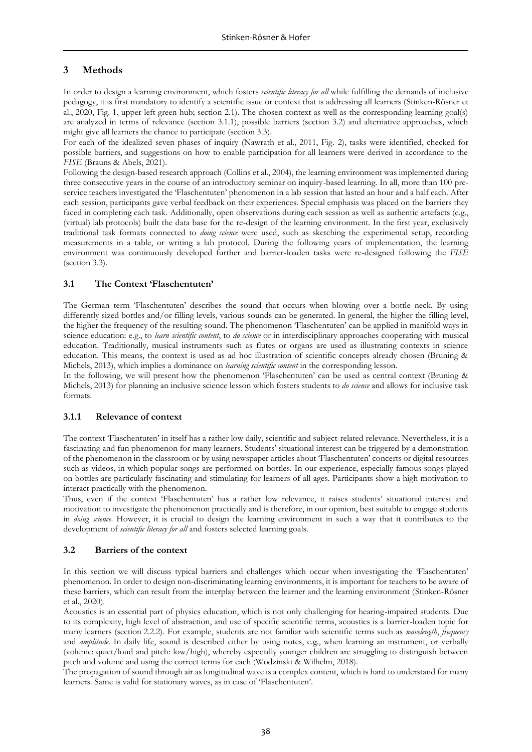# **3 Methods**

In order to design a learning environment, which fosters *scientific literacy for all* while fulfilling the demands of inclusive pedagogy, it is first mandatory to identify a scientific issue or context that is addressing all learners (Stinken-Rösner et al., 2020, Fig. 1, upper left green hub; section 2.1). The chosen context as well as the corresponding learning goal(s) are analyzed in terms of relevance (section 3.1.1), possible barriers (section 3.2) and alternative approaches, which might give all learners the chance to participate (section 3.3).

For each of the idealized seven phases of inquiry (Nawrath et al., 2011, Fig. 2), tasks were identified, checked for possible barriers, and suggestions on how to enable participation for all learners were derived in accordance to the *FISE* (Brauns & Abels, 2021).

Following the design-based research approach (Collins et al., 2004), the learning environment was implemented during three consecutive years in the course of an introductory seminar on inquiry-based learning. In all, more than 100 preservice teachers investigated the 'Flaschentuten' phenomenon in a lab session that lasted an hour and a half each. After each session, participants gave verbal feedback on their experiences. Special emphasis was placed on the barriers they faced in completing each task. Additionally, open observations during each session as well as authentic artefacts (e.g., (virtual) lab protocols) built the data base for the re-design of the learning environment. In the first year, exclusively traditional task formats connected to *doing science* were used, such as sketching the experimental setup, recording measurements in a table, or writing a lab protocol. During the following years of implementation, the learning environment was continuously developed further and barrier-loaden tasks were re-designed following the *FISE* (section 3.3).

## **3.1 The Context 'Flaschentuten'**

The German term 'Flaschentuten' describes the sound that occurs when blowing over a bottle neck. By using differently sized bottles and/or filling levels, various sounds can be generated. In general, the higher the filling level, the higher the frequency of the resulting sound. The phenomenon 'Flaschentuten' can be applied in manifold ways in science education: e.g., to *learn scientific content*, to *do science* or in interdisciplinary approaches cooperating with musical education. Traditionally, musical instruments such as flutes or organs are used as illustrating contexts in science education. This means, the context is used as ad hoc illustration of scientific concepts already chosen (Bruning & Michels, 2013), which implies a dominance on *learning scientific content* in the corresponding lesson.

In the following, we will present how the phenomenon 'Flaschentuten' can be used as central context (Bruning & Michels, 2013) for planning an inclusive science lesson which fosters students to *do science* and allows for inclusive task formats.

## **3.1.1 Relevance of context**

The context 'Flaschentuten' in itself has a rather low daily, scientific and subject-related relevance. Nevertheless, it is a fascinating and fun phenomenon for many learners. Students' situational interest can be triggered by a demonstration of the phenomenon in the classroom or by using newspaper articles about 'Flaschentuten' concerts or digital resources such as videos, in which popular songs are performed on bottles. In our experience, especially famous songs played on bottles are particularly fascinating and stimulating for learners of all ages. Participants show a high motivation to interact practically with the phenomenon.

Thus, even if the context 'Flaschentuten' has a rather low relevance, it raises students' situational interest and motivation to investigate the phenomenon practically and is therefore, in our opinion, best suitable to engage students in *doing science*. However, it is crucial to design the learning environment in such a way that it contributes to the development of *scientific literacy for all* and fosters selected learning goals.

## **3.2 Barriers of the context**

In this section we will discuss typical barriers and challenges which occur when investigating the 'Flaschentuten' phenomenon. In order to design non-discriminating learning environments, it is important for teachers to be aware of these barriers, which can result from the interplay between the learner and the learning environment (Stinken-Rösner et al., 2020).

Acoustics is an essential part of physics education, which is not only challenging for hearing-impaired students. Due to its complexity, high level of abstraction, and use of specific scientific terms, acoustics is a barrier-loaden topic for many learners (section 2.2.2). For example, students are not familiar with scientific terms such as *wavelength*, *frequency* and *amplitude*. In daily life, sound is described either by using notes, e.g., when learning an instrument, or verbally (volume: quiet/loud and pitch: low/high), whereby especially younger children are struggling to distinguish between pitch and volume and using the correct terms for each (Wodzinski & Wilhelm, 2018).

The propagation of sound through air as longitudinal wave is a complex content, which is hard to understand for many learners. Same is valid for stationary waves, as in case of 'Flaschentuten'.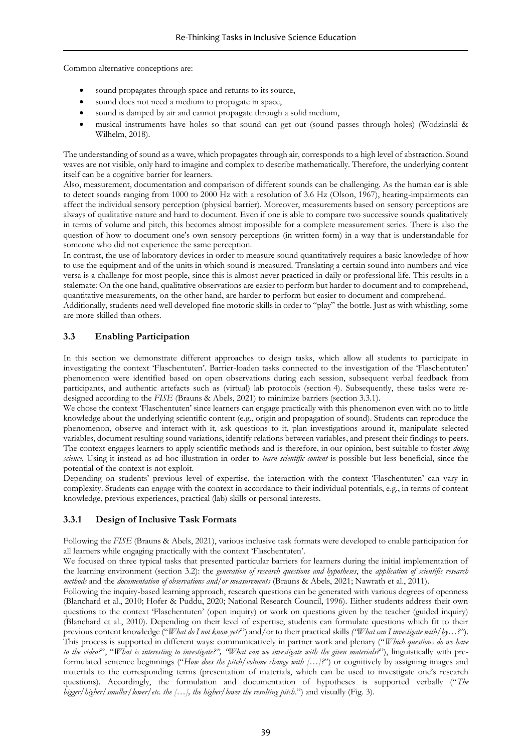Common alternative conceptions are:

- sound propagates through space and returns to its source,
- sound does not need a medium to propagate in space,
- sound is damped by air and cannot propagate through a solid medium,
- musical instruments have holes so that sound can get out (sound passes through holes) (Wodzinski & Wilhelm, 2018).

The understanding of sound as a wave, which propagates through air, corresponds to a high level of abstraction. Sound waves are not visible, only hard to imagine and complex to describe mathematically. Therefore, the underlying content itself can be a cognitive barrier for learners.

Also, measurement, documentation and comparison of different sounds can be challenging. As the human ear is able to detect sounds ranging from 1000 to 2000 Hz with a resolution of 3.6 Hz (Olson, 1967), hearing-impairments can affect the individual sensory perception (physical barrier). Moreover, measurements based on sensory perceptions are always of qualitative nature and hard to document. Even if one is able to compare two successive sounds qualitatively in terms of volume and pitch, this becomes almost impossible for a complete measurement series. There is also the question of how to document one's own sensory perceptions (in written form) in a way that is understandable for someone who did not experience the same perception.

In contrast, the use of laboratory devices in order to measure sound quantitatively requires a basic knowledge of how to use the equipment and of the units in which sound is measured. Translating a certain sound into numbers and vice versa is a challenge for most people, since this is almost never practiced in daily or professional life. This results in a stalemate: On the one hand, qualitative observations are easier to perform but harder to document and to comprehend, quantitative measurements, on the other hand, are harder to perform but easier to document and comprehend.

Additionally, students need well developed fine motoric skills in order to "play" the bottle. Just as with whistling, some are more skilled than others.

### **3.3 Enabling Participation**

In this section we demonstrate different approaches to design tasks, which allow all students to participate in investigating the context 'Flaschentuten'. Barrier-loaden tasks connected to the investigation of the 'Flaschentuten' phenomenon were identified based on open observations during each session, subsequent verbal feedback from participants, and authentic artefacts such as (virtual) lab protocols (section 4). Subsequently, these tasks were redesigned according to the *FISE* (Brauns & Abels, 2021) to minimize barriers (section 3.3.1).

We chose the context 'Flaschentuten' since learners can engage practically with this phenomenon even with no to little knowledge about the underlying scientific content (e.g., origin and propagation of sound). Students can reproduce the phenomenon, observe and interact with it, ask questions to it, plan investigations around it, manipulate selected variables, document resulting sound variations, identify relations between variables, and present their findings to peers. The context engages learners to apply scientific methods and is therefore, in our opinion, best suitable to foster *doing science.* Using it instead as ad-hoc illustration in order to *learn scientific content* is possible but less beneficial, since the potential of the context is not exploit.

Depending on students' previous level of expertise, the interaction with the context 'Flaschentuten' can vary in complexity. Students can engage with the context in accordance to their individual potentials, e.g., in terms of content knowledge, previous experiences, practical (lab) skills or personal interests.

#### **3.3.1 Design of Inclusive Task Formats**

Following the *FISE* (Brauns & Abels, 2021), various inclusive task formats were developed to enable participation for all learners while engaging practically with the context 'Flaschentuten'.

We focused on three typical tasks that presented particular barriers for learners during the initial implementation of the learning environment (section 3.2): the *generation of research questions and hypotheses*, the *application of scientific research methods* and the *documentation of observations and/or measurements* (Brauns & Abels, 2021; Nawrath et al., 2011).

Following the inquiry-based learning approach, research questions can be generated with various degrees of openness (Blanchard et al., 2010; Hofer & Puddu, 2020; National Research Council, 1996). Either students address their own questions to the context 'Flaschentuten' (open inquiry) or work on questions given by the teacher (guided inquiry) (Blanchard et al., 2010). Depending on their level of expertise, students can formulate questions which fit to their previous content knowledge ("*What do I not know yet?*") and/or to their practical skills *("What can I investigate with/by…?"*). This process is supported in different ways: communicatively in partner work and plenary ("*Which questions do we have to the video?*", "*What is interesting to investigate?", "What can we investigate with the given materials?*"), linguistically with preformulated sentence beginnings ("*How does the pitch/volume change with […]?*") or cognitively by assigning images and materials to the corresponding terms (presentation of materials, which can be used to investigate one's research questions). Accordingly, the formulation and documentation of hypotheses is supported verbally ("*The bigger/higher/smaller/lower/etc. the […], the higher/lower the resulting pitch*.") and visually (Fig. 3).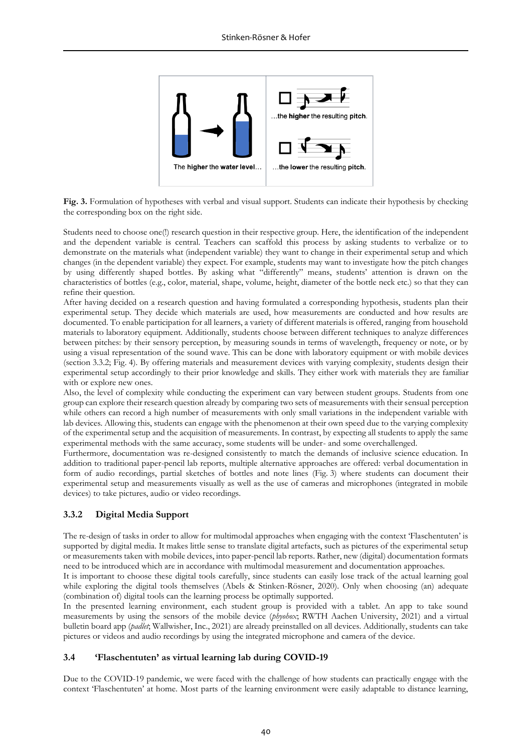

**Fig. 3.** Formulation of hypotheses with verbal and visual support. Students can indicate their hypothesis by checking the corresponding box on the right side.

Students need to choose one(!) research question in their respective group. Here, the identification of the independent and the dependent variable is central. Teachers can scaffold this process by asking students to verbalize or to demonstrate on the materials what (independent variable) they want to change in their experimental setup and which changes (in the dependent variable) they expect. For example, students may want to investigate how the pitch changes by using differently shaped bottles. By asking what "differently" means, students' attention is drawn on the characteristics of bottles (e.g., color, material, shape, volume, height, diameter of the bottle neck etc.) so that they can refine their question.

After having decided on a research question and having formulated a corresponding hypothesis, students plan their experimental setup. They decide which materials are used, how measurements are conducted and how results are documented. To enable participation for all learners, a variety of different materials is offered, ranging from household materials to laboratory equipment. Additionally, students choose between different techniques to analyze differences between pitches: by their sensory perception, by measuring sounds in terms of wavelength, frequency or note, or by using a visual representation of the sound wave. This can be done with laboratory equipment or with mobile devices (section 3.3.2; Fig. 4). By offering materials and measurement devices with varying complexity, students design their experimental setup accordingly to their prior knowledge and skills. They either work with materials they are familiar with or explore new ones.

Also, the level of complexity while conducting the experiment can vary between student groups. Students from one group can explore their research question already by comparing two sets of measurements with their sensual perception while others can record a high number of measurements with only small variations in the independent variable with lab devices. Allowing this, students can engage with the phenomenon at their own speed due to the varying complexity of the experimental setup and the acquisition of measurements. In contrast, by expecting all students to apply the same experimental methods with the same accuracy, some students will be under- and some overchallenged.

Furthermore, documentation was re-designed consistently to match the demands of inclusive science education. In addition to traditional paper-pencil lab reports, multiple alternative approaches are offered: verbal documentation in form of audio recordings, partial sketches of bottles and note lines (Fig. 3) where students can document their experimental setup and measurements visually as well as the use of cameras and microphones (integrated in mobile devices) to take pictures, audio or video recordings.

## **3.3.2 Digital Media Support**

The re-design of tasks in order to allow for multimodal approaches when engaging with the context 'Flaschentuten' is supported by digital media. It makes little sense to translate digital artefacts, such as pictures of the experimental setup or measurements taken with mobile devices, into paper-pencil lab reports. Rather, new (digital) documentation formats need to be introduced which are in accordance with multimodal measurement and documentation approaches.

It is important to choose these digital tools carefully, since students can easily lose track of the actual learning goal while exploring the digital tools themselves (Abels & Stinken-Rösner, 2020). Only when choosing (an) adequate (combination of) digital tools can the learning process be optimally supported.

In the presented learning environment, each student group is provided with a tablet. An app to take sound measurements by using the sensors of the mobile device (*phyohox*; RWTH Aachen University, 2021) and a virtual bulletin board app (*padlet*; Wallwisher, Inc., 2021) are already preinstalled on all devices. Additionally, students can take pictures or videos and audio recordings by using the integrated microphone and camera of the device.

#### **3.4 'Flaschentuten' as virtual learning lab during COVID-19**

Due to the COVID-19 pandemic, we were faced with the challenge of how students can practically engage with the context 'Flaschentuten' at home. Most parts of the learning environment were easily adaptable to distance learning,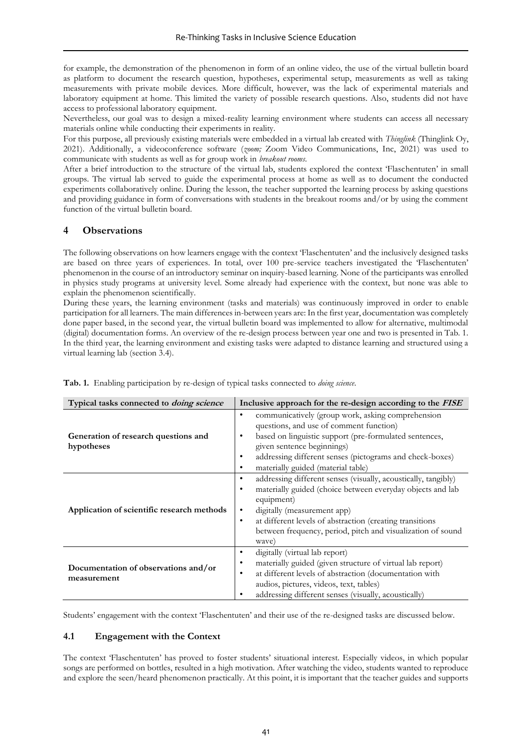for example, the demonstration of the phenomenon in form of an online video, the use of the virtual bulletin board as platform to document the research question, hypotheses, experimental setup, measurements as well as taking measurements with private mobile devices. More difficult, however, was the lack of experimental materials and laboratory equipment at home. This limited the variety of possible research questions. Also, students did not have access to professional laboratory equipment.

Nevertheless, our goal was to design a mixed-reality learning environment where students can access all necessary materials online while conducting their experiments in reality.

For this purpose, all previously existing materials were embedded in a virtual lab created with *Thinglink* (Thinglink Oy, 2021). Additionally, a videoconference software (*zoom;* Zoom Video Communications, Inc, 2021) was used to communicate with students as well as for group work in *breakout rooms*.

After a brief introduction to the structure of the virtual lab, students explored the context 'Flaschentuten' in small groups. The virtual lab served to guide the experimental process at home as well as to document the conducted experiments collaboratively online. During the lesson, the teacher supported the learning process by asking questions and providing guidance in form of conversations with students in the breakout rooms and/or by using the comment function of the virtual bulletin board.

## **4 Observations**

The following observations on how learners engage with the context 'Flaschentuten' and the inclusively designed tasks are based on three years of experiences. In total, over 100 pre-service teachers investigated the 'Flaschentuten' phenomenon in the course of an introductory seminar on inquiry-based learning. None of the participants was enrolled in physics study programs at university level. Some already had experience with the context, but none was able to explain the phenomenon scientifically.

During these years, the learning environment (tasks and materials) was continuously improved in order to enable participation for all learners. The main differences in-between years are: In the first year, documentation was completely done paper based, in the second year, the virtual bulletin board was implemented to allow for alternative, multimodal (digital) documentation forms. An overview of the re-design process between year one and two is presented in Tab. 1. In the third year, the learning environment and existing tasks were adapted to distance learning and structured using a virtual learning lab (section 3.4).

| Typical tasks connected to <i>doing science</i>     | Inclusive approach for the re-design according to the FISE                                                                                                                                                                                                                                                         |
|-----------------------------------------------------|--------------------------------------------------------------------------------------------------------------------------------------------------------------------------------------------------------------------------------------------------------------------------------------------------------------------|
| Generation of research questions and<br>hypotheses  | communicatively (group work, asking comprehension<br>$\bullet$<br>questions, and use of comment function)<br>based on linguistic support (pre-formulated sentences,<br>given sentence beginnings)<br>addressing different senses (pictograms and check-boxes)<br>٠<br>materially guided (material table)<br>٠      |
| Application of scientific research methods          | addressing different senses (visually, acoustically, tangibly)<br>materially guided (choice between everyday objects and lab<br>equipment)<br>digitally (measurement app)<br>at different levels of abstraction (creating transitions<br>٠<br>between frequency, period, pitch and visualization of sound<br>wave) |
| Documentation of observations and/or<br>measurement | digitally (virtual lab report)<br>٠<br>materially guided (given structure of virtual lab report)<br>at different levels of abstraction (documentation with<br>٠<br>audios, pictures, videos, text, tables)<br>addressing different senses (visually, acoustically)                                                 |

**Tab. 1.** Enabling participation by re-design of typical tasks connected to *doing science*.

Students' engagement with the context 'Flaschentuten' and their use of the re-designed tasks are discussed below.

#### **4.1 Engagement with the Context**

The context 'Flaschentuten' has proved to foster students' situational interest. Especially videos, in which popular songs are performed on bottles, resulted in a high motivation. After watching the video, students wanted to reproduce and explore the seen/heard phenomenon practically. At this point, it is important that the teacher guides and supports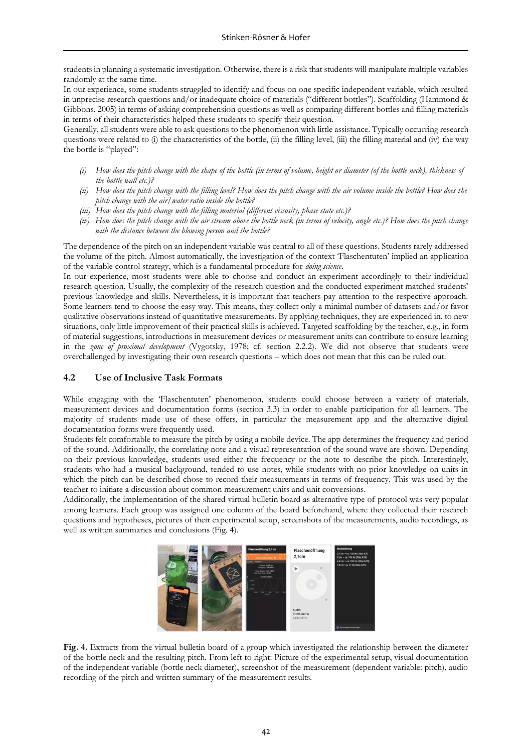students in planning a systematic investigation. Otherwise, there is a risk that students will manipulate multiple variables randomly at the same time.

In our experience, some students struggled to identify and focus on one specific independent variable, which resulted in unprecise research questions and/or inadequate choice of materials ("different bottles"). Scaffolding (Hammond & Gibbons, 2005) in terms of asking comprehension questions as well as comparing different bottles and filling materials in terms of their characteristics helped these students to specify their question.

Generally, all students were able to ask questions to the phenomenon with little assistance. Typically occurring research questions were related to (i) the characteristics of the bottle, (ii) the filling level, (iii) the filling material and (iv) the way the bottle is "played":

- *(i) How does the pitch change with the shape of the bottle (in terms of volume, height or diameter (of the bottle neck), thickness of the bottle wall etc.)?*
- *(ii) How does the pitch change with the filling level? How does the pitch change with the air volume inside the bottle? How does the pitch change with the air/water ratio inside the bottle?*
- *(iii) How does the pitch change with the filling material (different viscosity, phase state etc.)?*
- *(iv) How does the pitch change with the air stream above the bottle neck (in terms of velocity, angle etc.)? How does the pitch change with the distance between the blowing person and the bottle?*

The dependence of the pitch on an independent variable was central to all of these questions. Students rarely addressed the volume of the pitch. Almost automatically, the investigation of the context 'Flaschentuten' implied an application of the variable control strategy, which is a fundamental procedure for *doing science*.

In our experience, most students were able to choose and conduct an experiment accordingly to their individual research question. Usually, the complexity of the research question and the conducted experiment matched students' previous knowledge and skills. Nevertheless, it is important that teachers pay attention to the respective approach. Some learners tend to choose the easy way. This means, they collect only a minimal number of datasets and/or favor qualitative observations instead of quantitative measurements. By applying techniques, they are experienced in, to new situations, only little improvement of their practical skills is achieved. Targeted scaffolding by the teacher, e.g., in form of material suggestions, introductions in measurement devices or measurement units can contribute to ensure learning in the *zone of proximal development* (Vygotsky, 1978; cf. section 2.2.2). We did not observe that students were overchallenged by investigating their own research questions – which does not mean that this can be ruled out.

#### **4.2 Use of Inclusive Task Formats**

While engaging with the 'Flaschentuten' phenomenon, students could choose between a variety of materials, measurement devices and documentation forms (section 3.3) in order to enable participation for all learners. The majority of students made use of these offers, in particular the measurement app and the alternative digital documentation forms were frequently used.

Students felt comfortable to measure the pitch by using a mobile device. The app determines the frequency and period of the sound. Additionally, the correlating note and a visual representation of the sound wave are shown. Depending on their previous knowledge, students used either the frequency or the note to describe the pitch. Interestingly, students who had a musical background, tended to use notes, while students with no prior knowledge on units in which the pitch can be described chose to record their measurements in terms of frequency. This was used by the teacher to initiate a discussion about common measurement units and unit conversions.

Additionally, the implementation of the shared virtual bulletin board as alternative type of protocol was very popular among learners. Each group was assigned one column of the board beforehand, where they collected their research questions and hypotheses, pictures of their experimental setup, screenshots of the measurements, audio recordings, as well as written summaries and conclusions (Fig. 4).



**Fig. 4.** Extracts from the virtual bulletin board of a group which investigated the relationship between the diameter of the bottle neck and the resulting pitch. From left to right: Picture of the experimental setup, visual documentation of the independent variable (bottle neck diameter), screenshot of the measurement (dependent variable: pitch), audio recording of the pitch and written summary of the measurement results.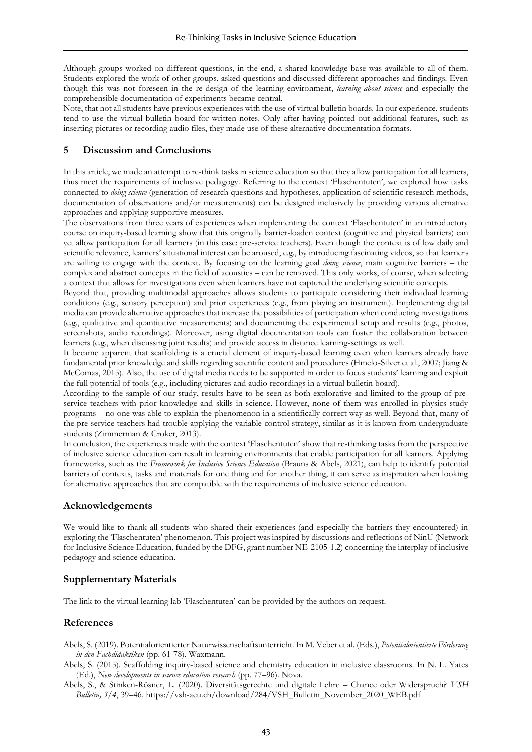Although groups worked on different questions, in the end, a shared knowledge base was available to all of them. Students explored the work of other groups, asked questions and discussed different approaches and findings. Even though this was not foreseen in the re-design of the learning environment, *learning about science* and especially the comprehensible documentation of experiments became central.

Note, that not all students have previous experiences with the use of virtual bulletin boards. In our experience, students tend to use the virtual bulletin board for written notes. Only after having pointed out additional features, such as inserting pictures or recording audio files, they made use of these alternative documentation formats.

### **5 Discussion and Conclusions**

In this article, we made an attempt to re-think tasks in science education so that they allow participation for all learners, thus meet the requirements of inclusive pedagogy. Referring to the context 'Flaschentuten', we explored how tasks connected to *doing science* (generation of research questions and hypotheses, application of scientific research methods, documentation of observations and/or measurements) can be designed inclusively by providing various alternative approaches and applying supportive measures.

The observations from three years of experiences when implementing the context 'Flaschentuten' in an introductory course on inquiry-based learning show that this originally barrier-loaden context (cognitive and physical barriers) can yet allow participation for all learners (in this case: pre-service teachers). Even though the context is of low daily and scientific relevance, learners' situational interest can be aroused, e.g., by introducing fascinating videos, so that learners are willing to engage with the context. By focusing on the learning goal *doing science*, main cognitive barriers – the complex and abstract concepts in the field of acoustics – can be removed. This only works, of course, when selecting a context that allows for investigations even when learners have not captured the underlying scientific concepts.

Beyond that, providing multimodal approaches allows students to participate considering their individual learning conditions (e.g., sensory perception) and prior experiences (e.g., from playing an instrument). Implementing digital media can provide alternative approaches that increase the possibilities of participation when conducting investigations (e.g., qualitative and quantitative measurements) and documenting the experimental setup and results (e.g., photos, screenshots, audio recordings). Moreover, using digital documentation tools can foster the collaboration between learners (e.g., when discussing joint results) and provide access in distance learning-settings as well.

It became apparent that scaffolding is a crucial element of inquiry-based learning even when learners already have fundamental prior knowledge and skills regarding scientific content and procedures (Hmelo-Silver et al., 2007; Jiang & McComas, 2015). Also, the use of digital media needs to be supported in order to focus students' learning and exploit the full potential of tools (e.g., including pictures and audio recordings in a virtual bulletin board).

According to the sample of our study, results have to be seen as both explorative and limited to the group of preservice teachers with prior knowledge and skills in science. However, none of them was enrolled in physics study programs – no one was able to explain the phenomenon in a scientifically correct way as well. Beyond that, many of the pre-service teachers had trouble applying the variable control strategy, similar as it is known from undergraduate students (Zimmerman & Croker, 2013).

In conclusion, the experiences made with the context 'Flaschentuten' show that re-thinking tasks from the perspective of inclusive science education can result in learning environments that enable participation for all learners. Applying frameworks, such as the *Framework for Inclusive Science Education* (Brauns & Abels, 2021), can help to identify potential barriers of contexts, tasks and materials for one thing and for another thing, it can serve as inspiration when looking for alternative approaches that are compatible with the requirements of inclusive science education.

#### **Acknowledgements**

We would like to thank all students who shared their experiences (and especially the barriers they encountered) in exploring the 'Flaschentuten' phenomenon. This project was inspired by discussions and reflections of NinU (Network for Inclusive Science Education, funded by the DFG, grant number NE-2105-1.2) concerning the interplay of inclusive pedagogy and science education.

#### **Supplementary Materials**

The link to the virtual learning lab 'Flaschentuten' can be provided by the authors on request.

#### **References**

- Abels, S. (2019). Potentialorientierter Naturwissenschaftsunterricht. In M. Veber et al. (Eds.), *Potentialorientierte Förderung in den Fachdidaktiken* (pp. 61-78). Waxmann.
- Abels, S. (2015). Scaffolding inquiry-based science and chemistry education in inclusive classrooms. In N. L. Yates (Ed.), *New developments in science education research* (pp. 77–96). Nova.
- Abels, S., & Stinken-Rösner, L. (2020). Diversitätsgerechte und digitale Lehre Chance oder Widerspruch? *VSH Bulletin, 3/4*, 39–46. https://vsh-aeu.ch/download/284/VSH\_Bulletin\_November\_2020\_WEB.pdf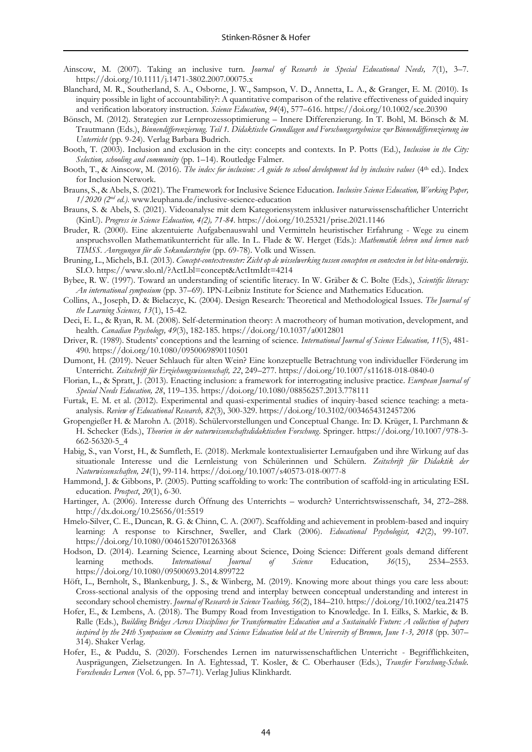- Ainscow, M. (2007). Taking an inclusive turn. *Journal of Research in Special Educational Needs, 7*(1), 3–7. https://doi.org/10.1111/j.1471-3802.2007.00075.x
- Blanchard, M. R., Southerland, S. A., Osborne, J. W., Sampson, V. D., Annetta, L. A., & Granger, E. M. (2010). Is inquiry possible in light of accountability?: A quantitative comparison of the relative effectiveness of guided inquiry and verification laboratory instruction. *Science Education*, *94*(4), 577–616. <https://doi.org/10.1002/sce.20390>
- Bönsch, M. (2012). Strategien zur Lernprozessoptimierung Innere Differenzierung. In T. Bohl, M. Bönsch & M. Trautmann (Eds.), *Binnendifferenzierung. Teil 1. Didaktische Grundlagen und Forschungsergebnisse zur Binnendifferenzierung im Unterricht* (pp. 9-24). Verlag Barbara Budrich.
- Booth, T. (2003). Inclusion and exclusion in the city: concepts and contexts. In P. Potts (Ed.), *Inclusion in the City: Selection, schooling and community* (pp. 1–14). Routledge Falmer.
- Booth, T., & Ainscow, M. (2016). *The index for inclusion: A guide to school development led by inclusive values* (4th ed.). Index for Inclusion Network.
- Brauns, S., & Abels, S. (2021). The Framework for Inclusive Science Education. *Inclusive Science Education, Working Paper, 1/2020 (2nd ed.)*[. www.leuphana.de/inclusive-science-education](http://www.leuphana.de/inclusive-science-education)
- Brauns, S. & Abels, S. (2021). Videoanalyse mit dem Kategoriensystem inklusiver naturwissenschaftlicher Unterricht (KinU). *Progress in Science Education, 4(2), 71-84*.<https://doi.org/10.25321/prise.2021.1146>
- Bruder, R. (2000). Eine akzentuierte Aufgabenauswahl und Vermitteln heuristischer Erfahrung Wege zu einem anspruchsvollen Mathematikunterricht für alle. In L. Flade & W. Herget (Eds.): *Mathematik lehren und lernen nach TIMSS. Anregungen für die Sekundarstufen* (pp. 69-78). Volk und Wissen.
- Bruning, L., Michels, B.I. (2013). *Concept-contextvenster: Zicht op de wisselwerking tussen concepten en contexten in het bèta-onderwijs*. SLO. <https://www.slo.nl/?ActLbl=concept&ActItmIdt=4214>
- Bybee, R. W. (1997). Toward an understanding of scientific literacy. In W. Gräber & C. Bolte (Eds.), *Scientific literacy: An international symposium* (pp. 37–69). IPN-Leibniz Institute for Science and Mathematics Education.
- Collins, A., Joseph, D. & Bielaczyc, K. (2004). Design Research: Theoretical and Methodological Issues. *The Journal of the Learning Sciences, 13*(1), 15-42.
- Deci, E. L., & Ryan, R. M. (2008). Self-determination theory: A macrotheory of human motivation, development, and health. *Canadian Psychology, 49*(3), 182-185[. https://doi.org/10.1037/a0012801](https://psycnet.apa.org/doi/10.1037/a0012801)
- Driver, R. (1989). Students' conceptions and the learning of science. *International Journal of Science Education, 11*(5), 481- 490.<https://doi.org/10.1080/0950069890110501>
- Dumont, H. (2019). Neuer Schlauch für alten Wein? Eine konzeptuelle Betrachtung von individueller Förderung im Unterricht. *Zeitschrift für Erziehungswissenschaft, 22*, 249–277.<https://doi.org/10.1007/s11618-018-0840-0>
- Florian, L., & Spratt, J. (2013). Enacting inclusion: a framework for interrogating inclusive practice. *European Journal of Special Needs Education, 28*, 119–135. <https://doi.org/10.1080/08856257.2013.778111>
- Furtak, E. M. et al. (2012). Experimental and quasi-experimental studies of inquiry-based science teaching: a metaanalysis. *Review of Educational Research, 82*(3), 300-329.<https://doi.org/10.3102/0034654312457206>
- Gropengießer H. & Marohn A. (2018). Schülervorstellungen und Conceptual Change. In: D. Krüger, I. Parchmann & H. Schecker (Eds.), *Theorien in der naturwissenschaftsdidaktischen Forschung*. Springer. [https://doi.org/10.1007/978-3-](https://doi.org/10.1007/978-3-662-56320-5_4) [662-56320-5\\_4](https://doi.org/10.1007/978-3-662-56320-5_4)
- Habig, S., van Vorst, H., & Sumfleth, E. (2018). Merkmale kontextualisierter Lernaufgaben und ihre Wirkung auf das situationale Interesse und die Lernleistung von Schülerinnen und Schülern. *Zeitschrift für Didaktik der Naturwissenschaften, 24*(1), 99-114[. https://doi.org/10.1007/s40573-018-0077-8](https://doi.org/10.1007/s40573-018-0077-8)
- Hammond, J. & Gibbons, P. (2005). Putting scaffolding to work: The contribution of scaffold-ing in articulating ESL education. *Prospect*, *20*(1), 6-30.
- Hartinger, A. (2006). Interesse durch Öffnung des Unterrichts wodurch? Unterrichtswissenschaft*,* 34, 272–288. <http://dx.doi.org/10.25656/01:5519>
- Hmelo-Silver, C. E., Duncan, R. G. & Chinn, C. A. (2007). Scaffolding and achievement in problem-based and inquiry learning: A response to Kirschner, Sweller, and Clark (2006). *Educational Psychologist, 42*(2), 99-107. <https://doi.org/10.1080/00461520701263368>
- Hodson, D. (2014). Learning Science, Learning about Science, Doing Science: Different goals demand different learning methods. *International Journal of Science* Education, *36*(15), 2534–2553. <https://doi.org/10.1080/09500693.2014.899722>
- Höft, L., Bernholt, S., Blankenburg, J. S., & Winberg, M. (2019). Knowing more about things you care less about: Cross-sectional analysis of the opposing trend and interplay between conceptual understanding and interest in secondary school chemistry. *Journal of Research in Science Teaching, 56*(2), 184–210. https://doi.org/10.1002/tea.21475
- Hofer, E., & Lembens, A. (2018). The Bumpy Road from Investigation to Knowledge. In I. Eilks, S. Markic, & B. Ralle (Eds.), *Building Bridges Across Disciplines for Transformative Education and a Sustainable Future: A collection of papers inspired by the 24th Symposium on Chemistry and Science Education held at the University of Bremen, June 1-3, 2018* (pp. 307– 314). Shaker Verlag.
- Hofer, E., & Puddu, S. (2020). Forschendes Lernen im naturwissenschaftlichen Unterricht Begrifflichkeiten, Ausprägungen, Zielsetzungen. In A. Eghtessad, T. Kosler, & C. Oberhauser (Eds.), *Transfer Forschung-Schule. Forschendes Lernen* (Vol. 6, pp. 57–71). Verlag Julius Klinkhardt.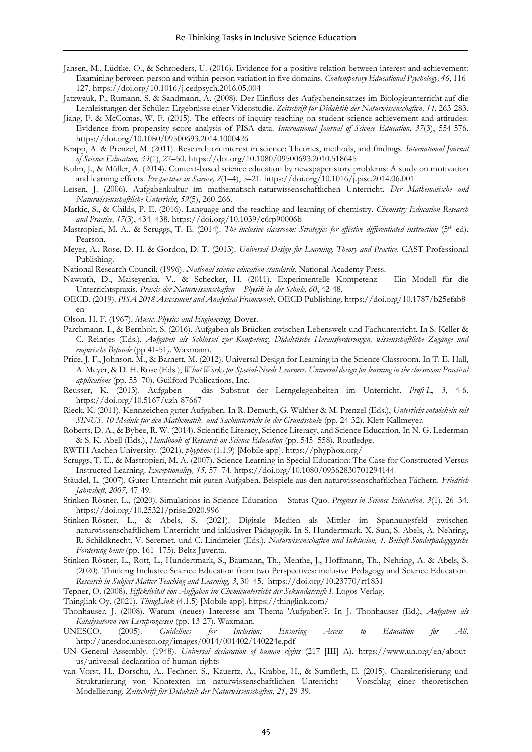- Jansen, M., Lüdtke, O., & Schroeders, U. (2016). Evidence for a positive relation between interest and achievement: Examining between-person and within-person variation in five domains*. Contemporary Educational Psychology, 46*, 116- 127.<https://doi.org/10.1016/j.cedpsych.2016.05.004>
- Jatzwauk, P., Rumann, S. & Sandmann, A. (2008). Der Einfluss des Aufgabeneinsatzes im Biologieunterricht auf die Lernleistungen der Schüler: Ergebnisse einer Videostudie. *Zeitschrift für Didaktik der Naturwissenschaften, 14*, 263-283.
- Jiang, F. & McComas, W. F. (2015). The effects of inquiry teaching on student science achievement and attitudes: Evidence from propensity score analysis of PISA data. *International Journal of Science Education, 37*(3), 554-576. <https://doi.org/10.1080/09500693.2014.1000426>
- Krapp, A. & Prenzel, M. (2011). Research on interest in science: Theories, methods, and findings. *International Journal of Science Education, 33*(1), 27–50.<https://doi.org/10.1080/09500693.2010.518645>
- Kuhn, J., & Müller, A. (2014). Context-based science education by newspaper story problems: A study on motivation and learning effects. *Perspectives in Science, 2*(1–4), 5–21[. https://doi.org/10.1016/j.pisc.2014.06.001](https://doi.org/10.1016/j.pisc.2014.06.001)
- Leisen, J. (2006). Aufgabenkultur im mathematisch-naturwissenschaftlichen Unterricht. *Der Mathematische und Naturwissenschaftliche Unterricht, 59*(5), 260-266.
- Markic, S., & Childs, P. E. (2016). Language and the teaching and learning of chemistry. *Chemistry Education Research and Practice, 17*(3), 434–438[. https://doi.org/10.1039/c6rp90006b](https://doi.org/10.1039/c6rp90006b)
- Mastropieri, M. A., & Scruggs, T. E. (2014). *The inclusive classroom: Strategies for effective differentiated instruction* (5th ed). Pearson.
- Meyer, A., Rose, D. H. & Gordon, D. T. (2013). *Universal Design for Learning. Theory and Practice*. CAST Professional Publishing.
- National Research Council. (1996). *National science education standards*. National Academy Press.
- Nawrath, D., Maiseyenka, V., & Schecker, H. (2011). Experimentelle Kompetenz Ein Modell für die Unterrichtspraxis. *Praxis der Naturwissenschaften – Physik in der Schule, 60*, 42-48.
- OECD. (2019). *PISA 2018 Assessment and Analytical Framework*. OECD Publishing. [https://doi.org/10.1787/b25efab8](https://doi.org/10.1787/b25efab8-en) [en](https://doi.org/10.1787/b25efab8-en)
- Olson, H. F. (1967). *Music, Physics and Engineering*. Dover.
- Parchmann, I., & Bernholt, S. (2016). Aufgaben als Brücken zwischen Lebenswelt und Fachunterricht. In S. Keller & C. Reintjes (Eds.), *Aufgaben als Schlüssel zur Kompetenz. Didaktische Herausforderungen, wissenschaftliche Zugänge und empirische Befunde* (pp 41-51*)*. Waxmann.
- Price, J. F., Johnson, M., & Barnett, M. (2012). Universal Design for Learning in the Science Classroom. In T. E. Hall, A. Meyer, & D. H. Rose (Eds.), *What Works for Special-Needs Learners. Universal design for learning in the classroom: Practical applications* (pp. 55–70). Guilford Publications, Inc.
- Reusser, K. (2013). Aufgaben das Substrat der Lerngelegenheiten im Unterricht. *Profi-L, 3*, 4-6. <https://doi.org/10.5167/uzh-87667>
- Rieck, K. (2011). Kennzeichen guter Aufgaben. In R. Demuth, G. Walther & M. Prenzel (Eds.), *Unterricht entwickeln mit SINUS. 10 Module für den Mathematik- und Sachunterricht in der Grundschul*e (pp. 24-32). Klett Kallmeyer.
- Roberts, D. A., & Bybee, R. W. (2014). Scientific Literacy, Science Literacy, and Science Education. In N. G. Lederman & S. K. Abell (Eds.), *Handbook of Research on Science Education* (pp. 545–558). Routledge.
- RWTH Aachen University. (2021). *phyphox* (1.1.9) [Mobile app][. https://phyphox.org/](https://phyphox.org/)
- Scruggs, T. E., & Mastropieri, M. A. (2007). Science Learning in Special Education: The Case for Constructed Versus Instructed Learning. *Exceptionality, 15*, 57–74.<https://doi.org/10.1080/09362830701294144>
- Stäudel, L. (2007). Guter Unterricht mit guten Aufgaben. Beispiele aus den naturwissenschaftlichen Fächern. *Friedrich Jahresheft*, *2007*, 47-49.
- Stinken-Rösner, L., (2020). Simulations in Science Education Status Quo. *Progress in Science Education, 3*(1), 26–34. <https://doi.org/10.25321/prise.2020.996>
- Stinken-Rösner, L., & Abels, S. (2021). Digitale Medien als Mittler im Spannungsfeld zwischen naturwissenschaftlichem Unterricht und inklusiver Pädagogik. In S. Hundertmark, X. Sun, S. Abels, A. Nehring, R. Schildknecht, V. Seremet, und C. Lindmeier (Eds.), *Naturwissenschaften und Inklusion, 4. Beiheft Sonderpädagogische Förderung heute* (pp. 161–175). Beltz Juventa.
- Stinken-Rösner, L., Rott, L., Hundertmark, S., Baumann, Th., Menthe, J., Hoffmann, Th., Nehring, A. & Abels, S. (2020). Thinking Inclusive Science Education from two Perspectives: inclusive Pedagogy and Science Education. *Research in Subject-Matter Teaching and Learning, 3*, 30–45. <https://doi.org/10.23770/rt1831>

Tepner, O. (2008). *Effektivität von Aufgaben im Chemieunterricht der Sekundarstufe I*. Logos Verlag.

- Thinglink Oy. (2021). *ThingLink* (4.1.5) [Mobile app].<https://thinglink.com/>
- Thonhauser, J. (2008). Warum (neues) Interesse am Thema 'Aufgaben'?. In J. Thonhauser (Ed.), *Aufgaben als Katalysatoren von Lernprozessen* (pp. 13-27). Waxmann.
- UNESCO. (2005). *Guidelines for Inclusion: Ensuring Access to Education for All*. <http://unesdoc.unesco.org/images/0014/001402/140224e.pdf>
- UN General Assembly. (1948). *Universal declaration of human rights* (217 [III] A). [https://www.un.org/en/about](https://www.un.org/en/about-us/universal-declaration-of-human-rights)[us/universal-declaration-of-human-rights](https://www.un.org/en/about-us/universal-declaration-of-human-rights)
- van Vorst, H., Dorschu, A., Fechner, S., Kauertz, A., Krabbe, H., & Sumfleth, E. (2015). Charakterisierung und Strukturierung von Kontexten im naturwissenschaftlichen Unterricht – Vorschlag einer theoretischen Modellierung. *Zeitschrift für Didaktik der Naturwissenschaften, 21*, 29-39.